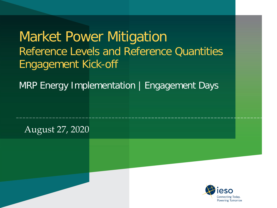#### Market Power Mitigation Reference Levels and Reference Quantities Engagement Kick-off

MRP Energy Implementation | Engagement Days

August 27, 2020

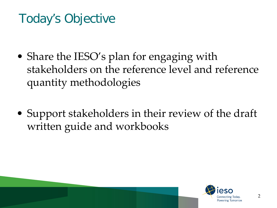### Today's Objective

- Share the IESO's plan for engaging with stakeholders on the reference level and reference quantity methodologies
- Support stakeholders in their review of the draft written guide and workbooks

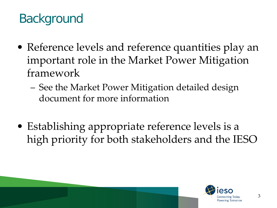### Background

- Reference levels and reference quantities play an important role in the Market Power Mitigation framework
	- See the Market Power Mitigation detailed design document for more information
- Establishing appropriate reference levels is a high priority for both stakeholders and the IESO

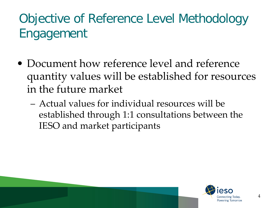# Objective of Reference Level Methodology Engagement

- Document how reference level and reference quantity values will be established for resources in the future market
	- Actual values for individual resources will be established through 1:1 consultations between the IESO and market participants

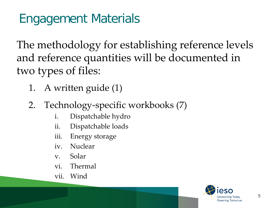### Engagement Materials

The methodology for establishing reference levels and reference quantities will be documented in two types of files:

- 1. A written guide (1)
- 2. Technology-specific workbooks (7)
	- i. Dispatchable hydro
	- ii. Dispatchable loads
	- iii. Energy storage
	- iv. Nuclear
	- v. Solar
	- vi. Thermal
	- vii. Wind

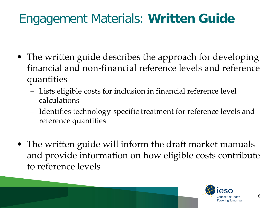### Engagement Materials: **Written Guide**

- The written guide describes the approach for developing financial and non-financial reference levels and reference quantities
	- Lists eligible costs for inclusion in financial reference level calculations
	- Identifies technology-specific treatment for reference levels and reference quantities
- The written guide will inform the draft market manuals and provide information on how eligible costs contribute to reference levels

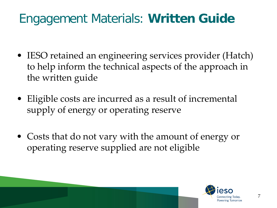### Engagement Materials: **Written Guide**

- IESO retained an engineering services provider (Hatch) to help inform the technical aspects of the approach in the written guide
- Eligible costs are incurred as a result of incremental supply of energy or operating reserve
- Costs that do not vary with the amount of energy or operating reserve supplied are not eligible

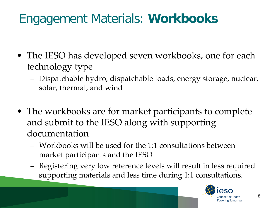### Engagement Materials: **Workbooks**

- The IESO has developed seven workbooks, one for each technology type
	- Dispatchable hydro, dispatchable loads, energy storage, nuclear, solar, thermal, and wind
- The workbooks are for market participants to complete and submit to the IESO along with supporting documentation
	- Workbooks will be used for the 1:1 consultations between market participants and the IESO
	- Registering very low reference levels will result in less required supporting materials and less time during 1:1 consultations.

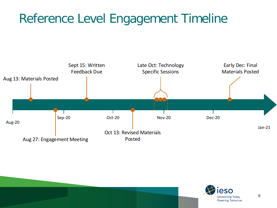### Reference Level Engagement Timeline



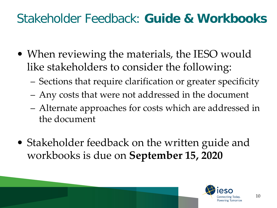#### Stakeholder Feedback: **Guide & Workbooks**

- When reviewing the materials, the IESO would like stakeholders to consider the following:
	- Sections that require clarification or greater specificity
	- Any costs that were not addressed in the document
	- Alternate approaches for costs which are addressed in the document
- Stakeholder feedback on the written guide and workbooks is due on **September 15, 2020**

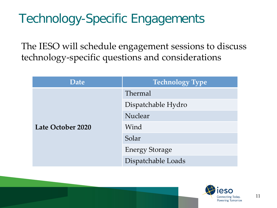# Technology-Specific Engagements

The IESO will schedule engagement sessions to discuss technology-specific questions and considerations

| <b>Date</b>       | <b>Technology Type</b> |
|-------------------|------------------------|
| Late October 2020 | Thermal                |
|                   | Dispatchable Hydro     |
|                   | Nuclear                |
|                   | Wind                   |
|                   | Solar                  |
|                   | <b>Energy Storage</b>  |
|                   | Dispatchable Loads     |

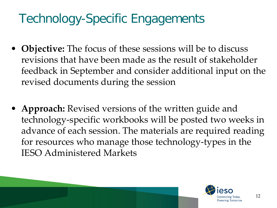# Technology-Specific Engagements

- **Objective:** The focus of these sessions will be to discuss revisions that have been made as the result of stakeholder feedback in September and consider additional input on the revised documents during the session
- **Approach:** Revised versions of the written guide and technology-specific workbooks will be posted two weeks in advance of each session. The materials are required reading for resources who manage those technology-types in the IESO Administered Markets

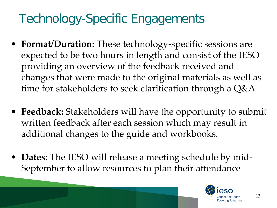# Technology-Specific Engagements

- **Format/Duration:** These technology-specific sessions are expected to be two hours in length and consist of the IESO providing an overview of the feedback received and changes that were made to the original materials as well as time for stakeholders to seek clarification through a Q&A
- **Feedback:** Stakeholders will have the opportunity to submit written feedback after each session which may result in additional changes to the guide and workbooks.
- **Dates:** The IESO will release a meeting schedule by mid-September to allow resources to plan their attendance